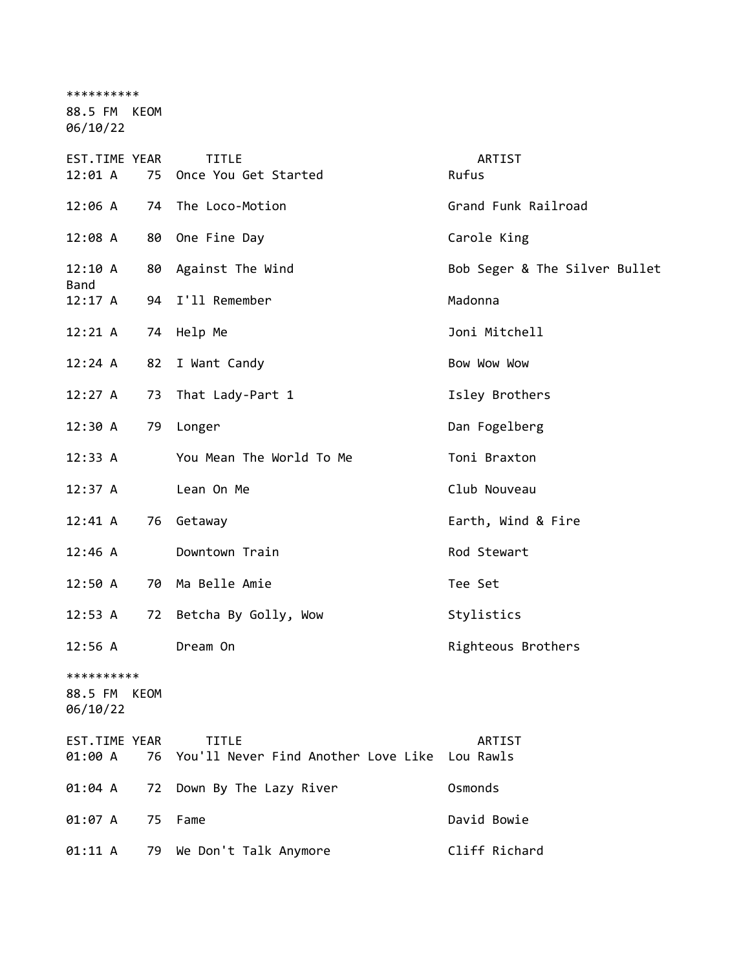\*\*\*\*\*\*\*\*\*\*

88.5 FM KEOM

| <b>EST.TIME YEAR</b><br>12:01 A        | 75 | <b>TITLE</b><br>Once You Get Started                | ARTIST<br>Rufus               |
|----------------------------------------|----|-----------------------------------------------------|-------------------------------|
| 12:06 A                                |    | 74 The Loco-Motion                                  | Grand Funk Railroad           |
| 12:08 A                                |    | 80 One Fine Day                                     | Carole King                   |
| 12:10 A                                |    | 80 Against The Wind                                 | Bob Seger & The Silver Bullet |
| Band<br>12:17A                         |    | 94 I'll Remember                                    | Madonna                       |
| 12:21 A                                |    | 74 Help Me                                          | Joni Mitchell                 |
| 12:24 A                                | 82 | I Want Candy                                        | Bow Wow Wow                   |
| 12:27 A                                | 73 | That Lady-Part 1                                    | Isley Brothers                |
| 12:30 A                                | 79 | Longer                                              | Dan Fogelberg                 |
| 12:33 A                                |    | You Mean The World To Me                            | Toni Braxton                  |
| 12:37 A                                |    | Lean On Me                                          | Club Nouveau                  |
| $12:41 \; A$                           | 76 | Getaway                                             | Earth, Wind & Fire            |
| 12:46 A                                |    | Downtown Train                                      | Rod Stewart                   |
| 12:50 A                                |    | 70 Ma Belle Amie                                    | Tee Set                       |
| 12:53 A                                |    | 72 Betcha By Golly, Wow                             | Stylistics                    |
| 12:56 A                                |    | Dream On                                            | Righteous Brothers            |
| **********<br>88.5 FM KEOM<br>06/10/22 |    |                                                     |                               |
| EST.TIME YEAR<br>01:00 A               | 76 | <b>TITLE</b><br>You'll Never Find Another Love Like | <b>ARTIST</b><br>Lou Rawls    |
| 01:04 A                                | 72 | Down By The Lazy River                              | Osmonds                       |
| 01:07 A                                | 75 | Fame                                                | David Bowie                   |
| 01:11 A                                | 79 | We Don't Talk Anymore                               | Cliff Richard                 |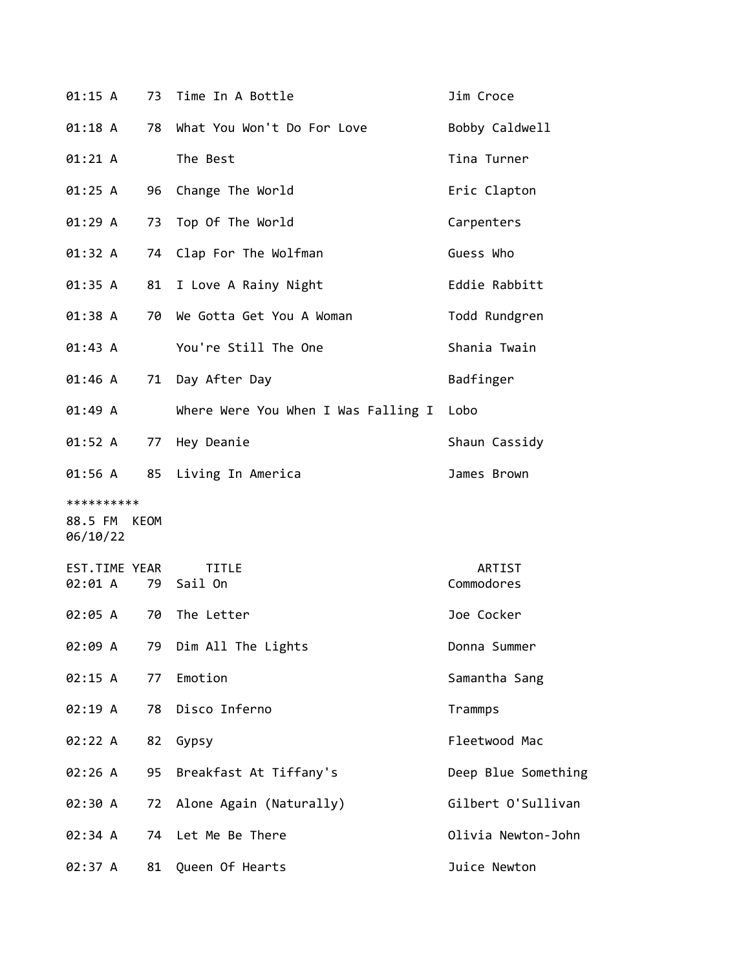| 01:15 A                                | 73 | Time In A Bottle                    | Jim Croce            |
|----------------------------------------|----|-------------------------------------|----------------------|
| 01:18 A                                | 78 | What You Won't Do For Love          | Bobby Caldwell       |
| 01:21 A                                |    | The Best                            | Tina Turner          |
| 01:25 A                                | 96 | Change The World                    | Eric Clapton         |
| 01:29A                                 | 73 | Top Of The World                    | Carpenters           |
| 01:32 A                                | 74 | Clap For The Wolfman                | Guess Who            |
| 01:35 A                                | 81 | I Love A Rainy Night                | Eddie Rabbitt        |
| 01:38 A                                | 70 | We Gotta Get You A Woman            | Todd Rundgren        |
| 01:43 A                                |    | You're Still The One                | Shania Twain         |
| 01:46 A                                | 71 | Day After Day                       | Badfinger            |
| 01:49 A                                |    | Where Were You When I Was Falling I | Lobo                 |
| 01:52 A                                | 77 | Hey Deanie                          | Shaun Cassidy        |
| 01:56 A                                |    | 85 Living In America                | James Brown          |
| **********<br>88.5 FM KEOM<br>06/10/22 |    |                                     |                      |
| EST.TIME YEAR<br>02:01 A               | 79 | <b>TITLE</b><br>Sail On             | ARTIST<br>Commodores |
| 02:05 A                                | 70 | The Letter                          | Joe Cocker           |
| 02:09 A                                | 79 | Dim All The Lights                  | Donna Summer         |
| 02:15 A                                | 77 | Emotion                             | Samantha Sang        |
| 02:19 A                                | 78 | Disco Inferno                       | Trammps              |
| 02:22 A                                | 82 | Gypsy                               | Fleetwood Mac        |
| 02:26 A                                | 95 | Breakfast At Tiffany's              | Deep Blue Something  |
| 02:30 A                                | 72 | Alone Again (Naturally)             | Gilbert O'Sullivan   |
| 02:34 A                                | 74 | Let Me Be There                     | Olivia Newton-John   |
| 02:37 A                                | 81 | Queen Of Hearts                     | Juice Newton         |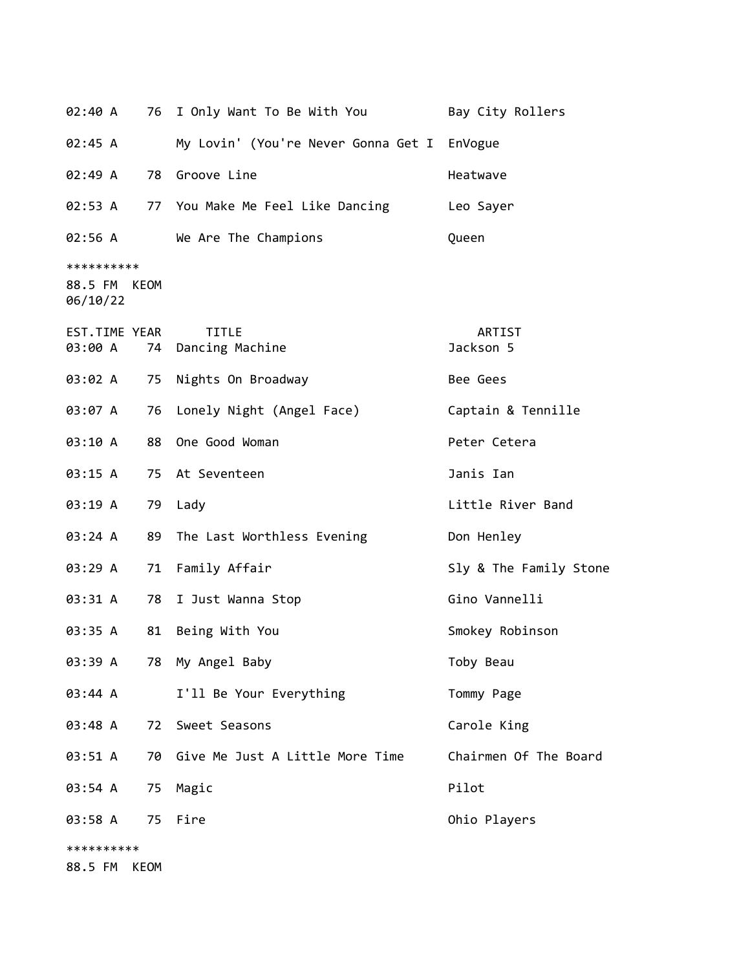| 02:40 A                                | 76 I Only Want To Be With You       | Bay City Rollers       |
|----------------------------------------|-------------------------------------|------------------------|
| 02:45 A                                | My Lovin' (You're Never Gonna Get I | EnVogue                |
| 02:49 A                                | 78 Groove Line                      | Heatwave               |
| 02:53 A                                | 77 You Make Me Feel Like Dancing    | Leo Sayer              |
| 02:56 A                                | We Are The Champions                | Queen                  |
| **********<br>88.5 FM KEOM<br>06/10/22 |                                     |                        |
| EST.TIME YEAR<br>03:00 A               | <b>TITLE</b><br>74 Dancing Machine  | ARTIST<br>Jackson 5    |
| 03:02 A                                | 75 Nights On Broadway               | Bee Gees               |
| 03:07 A                                | 76 Lonely Night (Angel Face)        | Captain & Tennille     |
| 03:10 A<br>88                          | One Good Woman                      | Peter Cetera           |
| 03:15 A                                | 75 At Seventeen                     | Janis Ian              |
| 03:19 A                                | 79 Lady                             | Little River Band      |
| 03:24 A<br>89                          | The Last Worthless Evening          | Don Henley             |
| 03:29 A                                | 71 Family Affair                    | Sly & The Family Stone |
| 03:31 A                                | 78 I Just Wanna Stop                | Gino Vannelli          |
| 81<br>03:35 A                          | Being With You                      | Smokey Robinson        |
| 03:39 A                                | 78 My Angel Baby                    | Toby Beau              |
| 03:44 A                                | I'll Be Your Everything             | Tommy Page             |
| 03:48 A<br>72                          | Sweet Seasons                       | Carole King            |
| 03:51 A                                | 70 Give Me Just A Little More Time  | Chairmen Of The Board  |
| 03:54 A                                | 75 Magic                            | Pilot                  |
| 03:58 A<br>75                          | Fire                                | Ohio Players           |
| **********                             |                                     |                        |
| 88.5 FM<br>KEOM                        |                                     |                        |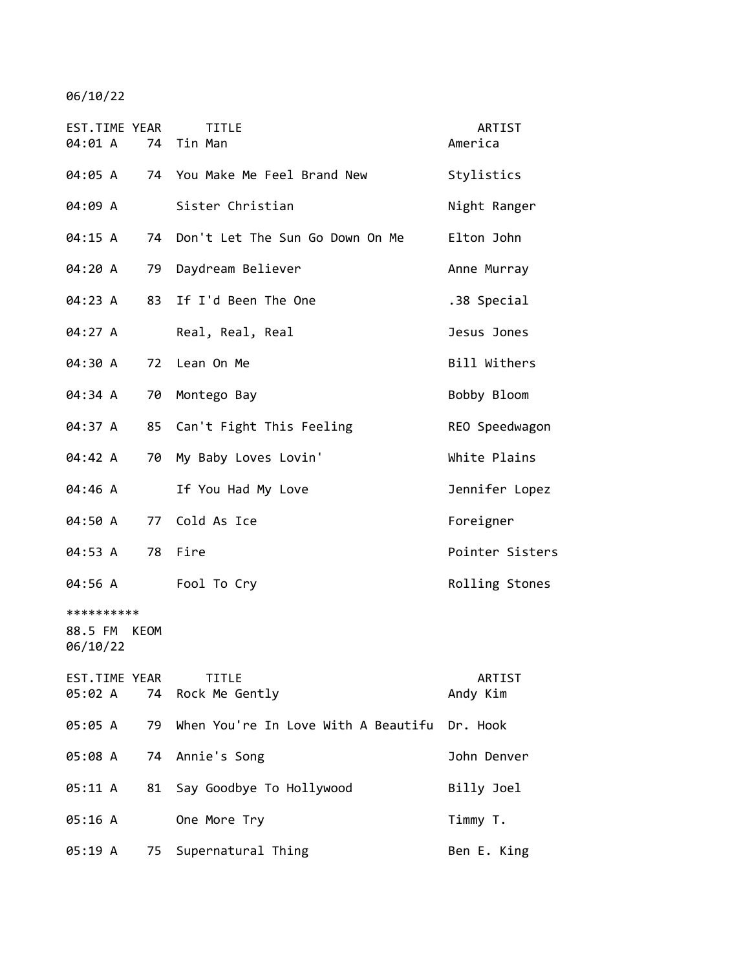| EST.TIME YEAR<br>04:01 A               | <b>TITLE</b><br>74 Tin Man                         | ARTIST<br>America  |
|----------------------------------------|----------------------------------------------------|--------------------|
| 04:05 A                                | 74 You Make Me Feel Brand New                      | Stylistics         |
| 04:09 A                                | Sister Christian                                   | Night Ranger       |
| 04:15 A                                | Don't Let The Sun Go Down On Me<br>74              | Elton John         |
| 04:20 A                                | Daydream Believer<br>79                            | Anne Murray        |
| 04:23 A                                | If I'd Been The One<br>83                          | .38 Special        |
| 04:27 A                                | Real, Real, Real                                   | Jesus Jones        |
| 04:30 A                                | Lean On Me<br>72                                   | Bill Withers       |
| 04:34 A<br>70                          | Montego Bay                                        | Bobby Bloom        |
| 04:37 A                                | 85<br>Can't Fight This Feeling                     | REO Speedwagon     |
| 04:42 A                                | 70<br>My Baby Loves Lovin'                         | White Plains       |
| 04:46 A                                | If You Had My Love                                 | Jennifer Lopez     |
| 04:50 A                                | Cold As Ice<br>77                                  | Foreigner          |
| 78<br>04:53 A                          | Fire                                               | Pointer Sisters    |
| 04:56 A                                | Fool To Cry                                        | Rolling Stones     |
| **********<br>88.5 FM KEOM<br>06/10/22 |                                                    |                    |
| EST.TIME YEAR<br>05:02 A               | <b>TITLE</b><br>74<br>Rock Me Gently               | ARTIST<br>Andy Kim |
| 05:05 A                                | When You're In Love With A Beautifu Dr. Hook<br>79 |                    |
| 05:08 A                                | Annie's Song<br>74                                 | John Denver        |
| 05:11 A                                | 81<br>Say Goodbye To Hollywood                     | Billy Joel         |
| 05:16 A                                | One More Try                                       | Timmy T.           |
| 05:19 A                                | 75<br>Supernatural Thing                           | Ben E. King        |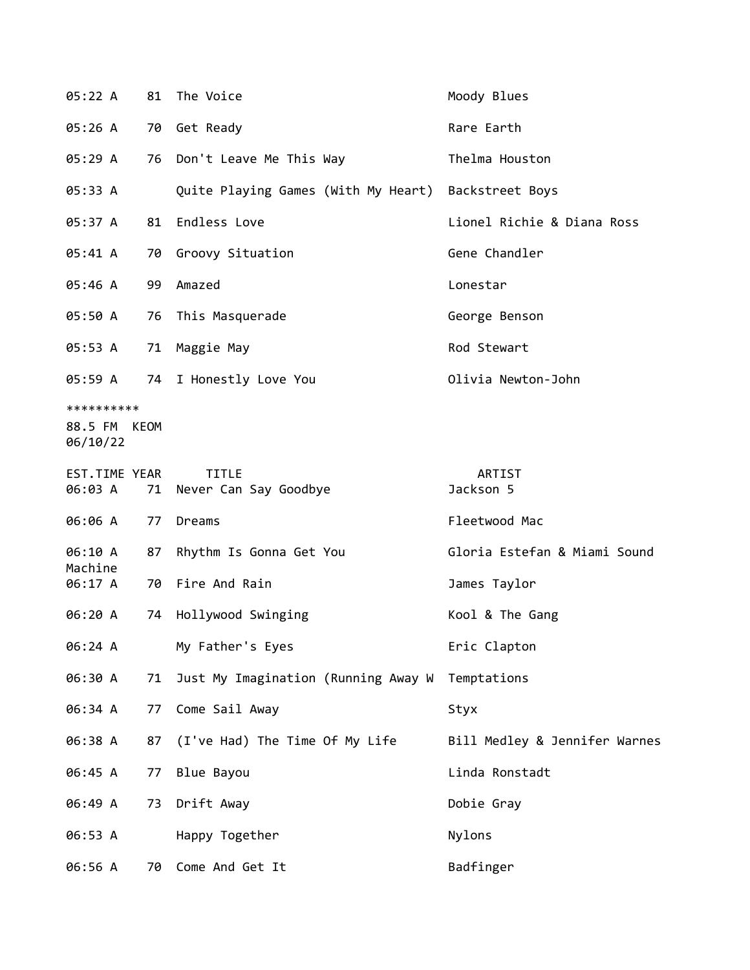| 05:22 A                                | 81 | The Voice                             | Moody Blues                   |
|----------------------------------------|----|---------------------------------------|-------------------------------|
| 05:26A                                 |    | 70 Get Ready                          | Rare Earth                    |
| 05:29 A                                |    | 76 Don't Leave Me This Way            | Thelma Houston                |
| 05:33 A                                |    | Quite Playing Games (With My Heart)   | Backstreet Boys               |
| 05:37 A                                | 81 | Endless Love                          | Lionel Richie & Diana Ross    |
| 05:41 A                                | 70 | Groovy Situation                      | Gene Chandler                 |
| 05:46 A                                | 99 | Amazed                                | Lonestar                      |
| 05:50 A                                |    | 76 This Masquerade                    | George Benson                 |
| 05:53 A                                | 71 | Maggie May                            | Rod Stewart                   |
| 05:59 A                                | 74 | I Honestly Love You                   | Olivia Newton-John            |
| **********<br>88.5 FM KEOM<br>06/10/22 |    |                                       |                               |
| EST.TIME YEAR<br>06:03 A               | 71 | <b>TITLE</b><br>Never Can Say Goodbye | ARTIST<br>Jackson 5           |
| 06:06 A                                | 77 | Dreams                                | Fleetwood Mac                 |
| 06:10 A                                | 87 | Rhythm Is Gonna Get You               | Gloria Estefan & Miami Sound  |
| Machine<br>06:17 A                     |    | 70 Fire And Rain                      | James Taylor                  |
| 06:20 A                                | 74 | Hollywood Swinging                    | Kool & The Gang               |
| 06:24 A                                |    | My Father's Eyes                      | Eric Clapton                  |
| 06:30 A                                | 71 | Just My Imagination (Running Away W   | Temptations                   |
| 06:34 A                                | 77 | Come Sail Away                        | Styx                          |
| 06:38 A                                | 87 | (I've Had) The Time Of My Life        | Bill Medley & Jennifer Warnes |
| 06:45 A                                | 77 | Blue Bayou                            | Linda Ronstadt                |
| 06:49 A                                | 73 | Drift Away                            | Dobie Gray                    |
| 06:53 A                                |    | Happy Together                        | Nylons                        |
| 06:56 A                                | 70 | Come And Get It                       | Badfinger                     |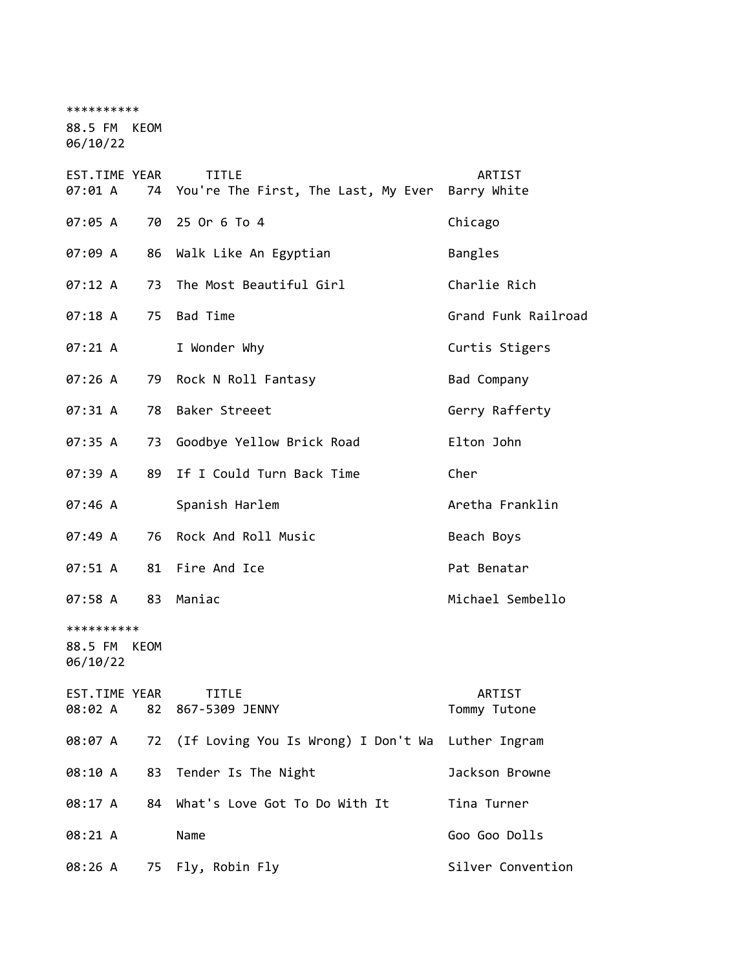\*\*\*\*\*\*\*\*\*\* 88.5 FM KEOM 06/10/22 EST.TIME YEAR TITLE ARTIST 07:01 A 74 You're The First, The Last, My Ever Barry White 07:05 A 70 25 Or 6 To 4 Chicago 07:09 A 86 Walk Like An Egyptian Bangles 07:12 A 73 The Most Beautiful Girl Charlie Rich 07:18 A 75 Bad Time Grand Funk Railroad 07:21 A I Wonder Why Curtis Stigers 07:26 A 79 Rock N Roll Fantasy Bad Company 07:31 A 78 Baker Streeet Gerry Rafferty 07:35 A 73 Goodbye Yellow Brick Road Elton John 07:39 A 89 If I Could Turn Back Time Cher 07:46 A Spanish Harlem **Aretha Franklin** 07:49 A 76 Rock And Roll Music Beach Boys 07:51 A 81 Fire And Ice **Pat Benatar** 07:58 A 83 Maniac Michael Sembello \*\*\*\*\*\*\*\*\*\* 88.5 FM KEOM 06/10/22 EST.TIME YEAR TITLE ARTIST 08:02 A 82 867-5309 JENNY Tommy Tutone 08:07 A 72 (If Loving You Is Wrong) I Don't Wa Luther Ingram 08:10 A 83 Tender Is The Night Contract Marks Browne 08:17 A 84 What's Love Got To Do With It Tina Turner

08:21 A Name Goo Goo Dolls

08:26 A 75 Fly, Robin Fly Silver Convention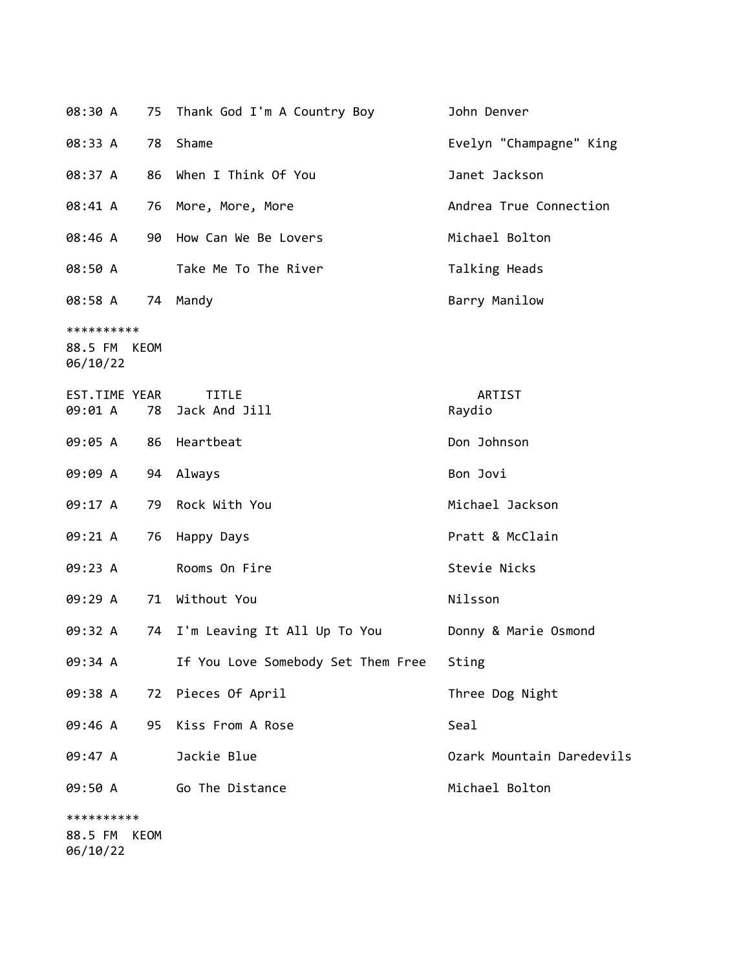| 08:30 A                                   |    | 75 Thank God I'm A Country Boy     | John Denver               |
|-------------------------------------------|----|------------------------------------|---------------------------|
| 08:33 A                                   | 78 | Shame                              | Evelyn "Champagne" King   |
| 08:37 A                                   | 86 | When I Think Of You                | Janet Jackson             |
| 08:41 A                                   | 76 | More, More, More                   | Andrea True Connection    |
| 08:46 A                                   | 90 | How Can We Be Lovers               | Michael Bolton            |
| 08:50 A                                   |    | Take Me To The River               | Talking Heads             |
| 08:58 A                                   | 74 | Mandy                              | Barry Manilow             |
| **********<br>KEOM<br>88.5 FM<br>06/10/22 |    |                                    |                           |
| EST.TIME YEAR<br>09:01 A                  |    | <b>TITLE</b><br>78 Jack And Jill   | ARTIST<br>Raydio          |
| 09:05 A                                   | 86 | Heartbeat                          | Don Johnson               |
| 09:09 A                                   | 94 | Always                             | Bon Jovi                  |
| 09:17 A                                   | 79 | Rock With You                      | Michael Jackson           |
| 09:21 A                                   | 76 | Happy Days                         | Pratt & McClain           |
| 09:23 A                                   |    | Rooms On Fire                      | Stevie Nicks              |
| 09:29 A                                   |    | 71 Without You                     | Nilsson                   |
| 09:32 A                                   | 74 | I'm Leaving It All Up To You       | Donny & Marie Osmond      |
| 09:34 A                                   |    | If You Love Somebody Set Them Free | Sting                     |
| 09:38 A                                   |    | 72 Pieces Of April                 | Three Dog Night           |
| 09:46 A                                   | 95 | Kiss From A Rose                   | Seal                      |
| 09:47 A                                   |    | Jackie Blue                        | Ozark Mountain Daredevils |
| 09:50 A                                   |    | Go The Distance                    | Michael Bolton            |
| **********<br>88.5 FM<br>KEOM             |    |                                    |                           |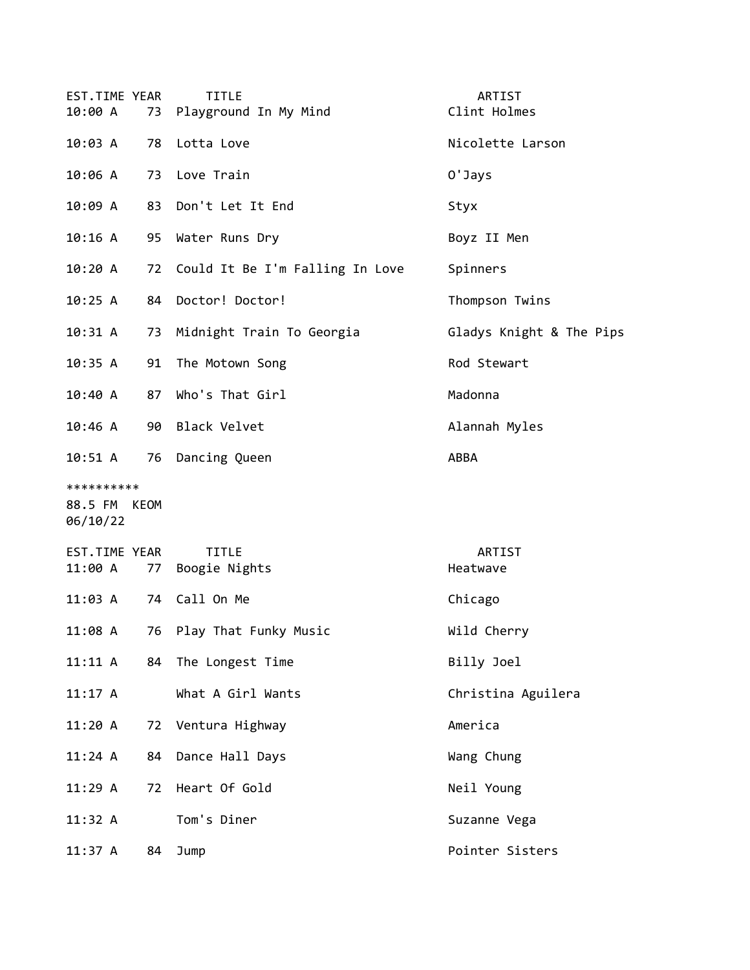| EST.TIME YEAR<br>10:00 A               |    | <b>TITLE</b><br>73 Playground In My Mind | ARTIST<br>Clint Holmes   |
|----------------------------------------|----|------------------------------------------|--------------------------|
| 10:03 A                                | 78 | Lotta Love                               | Nicolette Larson         |
| 10:06 A                                | 73 | Love Train                               | 0'Jays                   |
| 10:09 A                                | 83 | Don't Let It End                         | Styx                     |
| 10:16 A                                | 95 | Water Runs Dry                           | Boyz II Men              |
| 10:20 A                                |    | 72 Could It Be I'm Falling In Love       | Spinners                 |
| 10:25 A                                | 84 | Doctor! Doctor!                          | Thompson Twins           |
| 10:31 A                                | 73 | Midnight Train To Georgia                | Gladys Knight & The Pips |
| 10:35 A                                | 91 | The Motown Song                          | Rod Stewart              |
| 10:40 A                                | 87 | Who's That Girl                          | Madonna                  |
| 10:46 A                                | 90 | <b>Black Velvet</b>                      | Alannah Myles            |
| 10:51 A                                | 76 | Dancing Queen                            | ABBA                     |
| **********<br>88.5 FM KEOM<br>06/10/22 |    |                                          |                          |
| EST.TIME YEAR<br>11:00 A               | 77 | <b>TITLE</b><br>Boogie Nights            | ARTIST<br>Heatwave       |
| 11:03 A                                | 74 | Call On Me                               | Chicago                  |
| 11:08 A                                | 76 | Play That Funky Music                    | Wild Cherry              |
| 11:11 A                                | 84 | The Longest Time                         | Billy Joel               |
| $11:17$ A                              |    | What A Girl Wants                        | Christina Aguilera       |
| 11:20 A                                | 72 | Ventura Highway                          | America                  |
| 11:24 A                                | 84 | Dance Hall Days                          | Wang Chung               |
| 11:29A                                 | 72 | Heart Of Gold                            | Neil Young               |
| 11:32 A                                |    | Tom's Diner                              | Suzanne Vega             |
| 11:37 A                                | 84 | Jump                                     | Pointer Sisters          |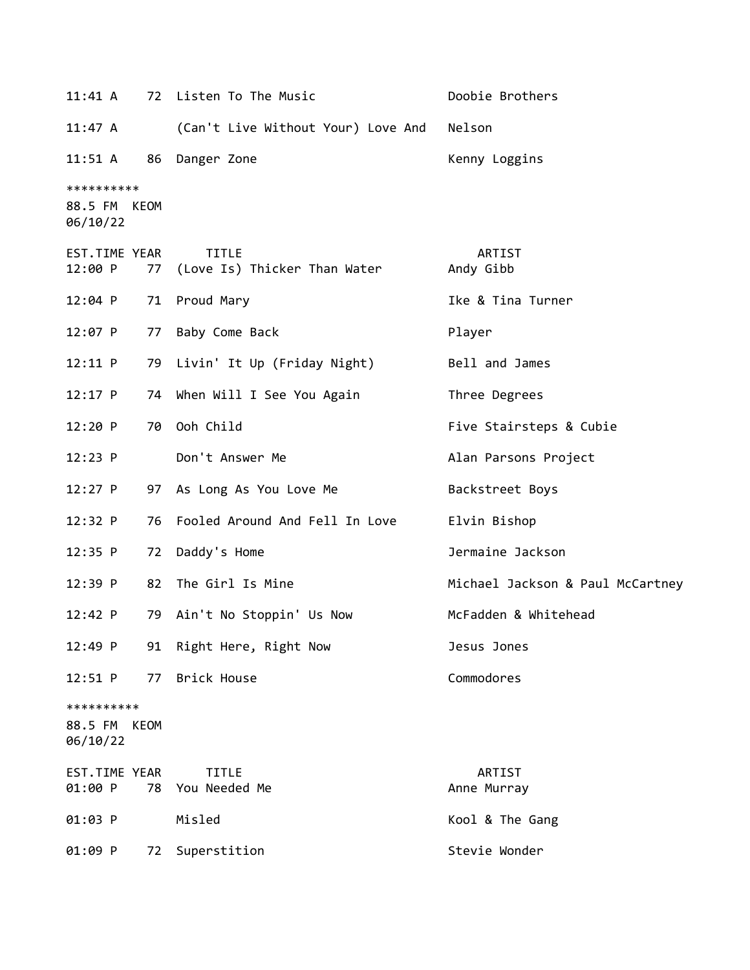| $11:41 \; \text{A}$                    |    | 72 Listen To The Music                       | Doobie Brothers                  |
|----------------------------------------|----|----------------------------------------------|----------------------------------|
| 11:47 A                                |    | (Can't Live Without Your) Love And           | Nelson                           |
| $11:51 \; A$                           |    | 86 Danger Zone                               | Kenny Loggins                    |
| **********<br>88.5 FM KEOM<br>06/10/22 |    |                                              |                                  |
| EST.TIME YEAR<br>12:00 P               | 77 | <b>TITLE</b><br>(Love Is) Thicker Than Water | ARTIST<br>Andy Gibb              |
| $12:04$ P                              |    | 71 Proud Mary                                | Ike & Tina Turner                |
| 12:07 P                                | 77 | Baby Come Back                               | Player                           |
| 12:11 P                                |    | 79 Livin' It Up (Friday Night)               | Bell and James                   |
| $12:17$ P                              |    | 74 When Will I See You Again                 | Three Degrees                    |
| 12:20 P                                | 70 | Ooh Child                                    | Five Stairsteps & Cubie          |
| 12:23 P                                |    | Don't Answer Me                              | Alan Parsons Project             |
| $12:27$ P                              |    | 97 As Long As You Love Me                    | Backstreet Boys                  |
| 12:32 P                                | 76 | Fooled Around And Fell In Love               | Elvin Bishop                     |
| $12:35$ P                              | 72 | Daddy's Home                                 | Jermaine Jackson                 |
| $12:39$ P                              |    | 82 The Girl Is Mine                          | Michael Jackson & Paul McCartney |
| 12:42 P                                |    | 79 Ain't No Stoppin' Us Now                  | McFadden & Whitehead             |
| 12:49 P                                |    | 91 Right Here, Right Now                     | Jesus Jones                      |
| 12:51 P                                | 77 | Brick House                                  | Commodores                       |
| **********<br>88.5 FM KEOM<br>06/10/22 |    |                                              |                                  |
| EST.TIME YEAR<br>01:00 P               |    | <b>TITLE</b><br>78 You Needed Me             | ARTIST<br>Anne Murray            |
| 01:03 P                                |    | Misled                                       | Kool & The Gang                  |
| 01:09 P                                | 72 | Superstition                                 | Stevie Wonder                    |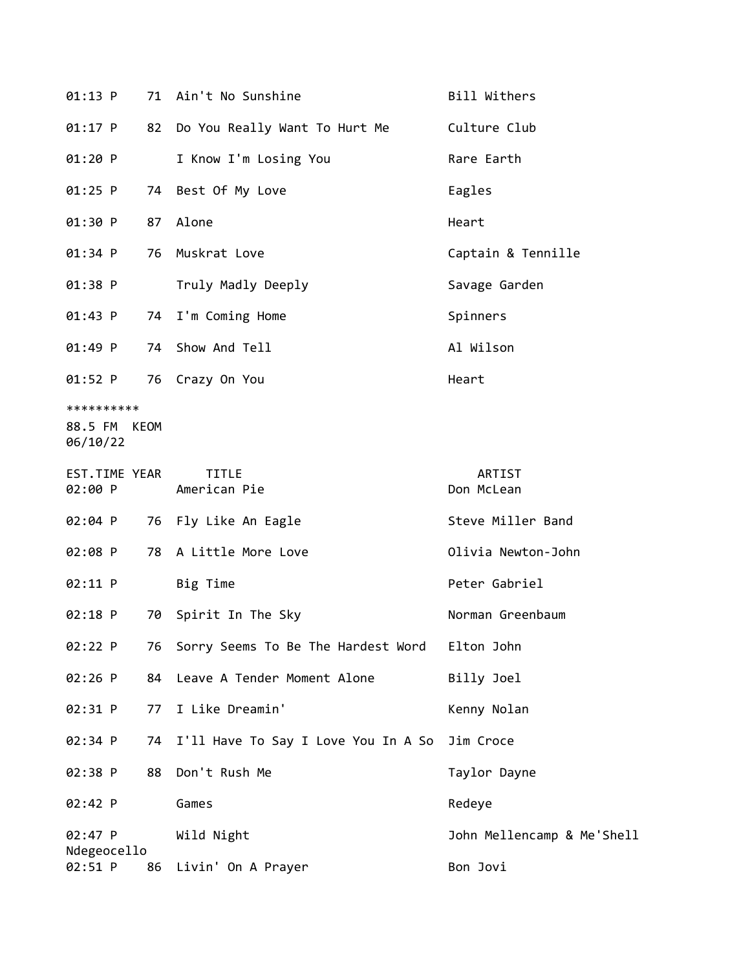| 01:13 P                                |    | 71 Ain't No Sunshine                | Bill Withers               |
|----------------------------------------|----|-------------------------------------|----------------------------|
| 01:17 P                                | 82 | Do You Really Want To Hurt Me       | Culture Club               |
| 01:20 P                                |    | I Know I'm Losing You               | Rare Earth                 |
| $01:25$ P                              | 74 | Best Of My Love                     | Eagles                     |
| 01:30 P                                | 87 | Alone                               | Heart                      |
| 01:34 P                                | 76 | Muskrat Love                        | Captain & Tennille         |
| 01:38 P                                |    | Truly Madly Deeply                  | Savage Garden              |
| 01:43 P                                | 74 | I'm Coming Home                     | Spinners                   |
| 01:49 P                                | 74 | Show And Tell                       | Al Wilson                  |
| 01:52 P                                | 76 | Crazy On You                        | Heart                      |
| **********<br>88.5 FM KEOM<br>06/10/22 |    |                                     |                            |
| EST.TIME YEAR<br>02:00 P               |    | <b>TITLE</b><br>American Pie        | ARTIST<br>Don McLean       |
| 02:04 P                                | 76 | Fly Like An Eagle                   | Steve Miller Band          |
| 02:08 P                                | 78 | A Little More Love                  | Olivia Newton-John         |
| 02:11 P                                |    | Big Time                            | Peter Gabriel              |
| 02:18 P                                | 70 | Spirit In The Sky                   | Norman Greenbaum           |
| 02:22 P                                | 76 | Sorry Seems To Be The Hardest Word  | Elton John                 |
| 02:26 P                                | 84 | Leave A Tender Moment Alone         | Billy Joel                 |
| 02:31 P                                | 77 | I Like Dreamin'                     | Kenny Nolan                |
| 02:34 P                                | 74 | I'll Have To Say I Love You In A So | Jim Croce                  |
| 02:38 P                                | 88 | Don't Rush Me                       | Taylor Dayne               |
| 02:42 P                                |    | Games                               | Redeye                     |
| 02:47 P                                |    | Wild Night                          | John Mellencamp & Me'Shell |
| Ndegeocello<br>02:51 P                 | 86 | Livin' On A Prayer                  | Bon Jovi                   |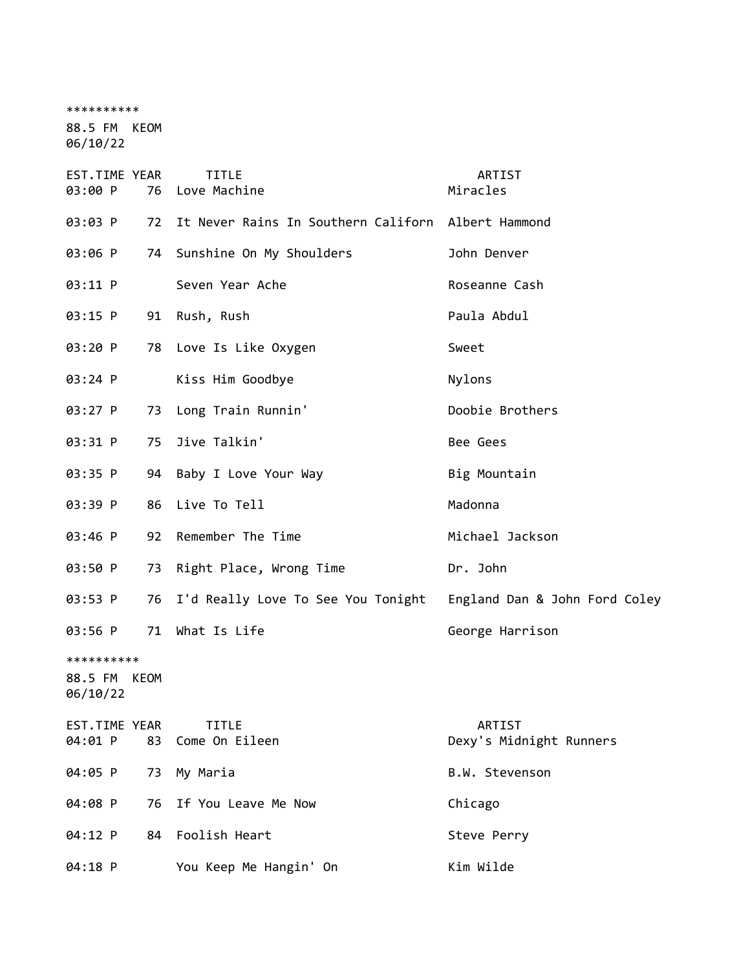\*\*\*\*\*\*\*\*\*\*

88.5 FM KEOM 06/10/22

| EST.TIME YEAR<br>03:00 P               | 76 | <b>TITLE</b><br>Love Machine                                     | ARTIST<br>Miracles                |
|----------------------------------------|----|------------------------------------------------------------------|-----------------------------------|
| 03:03 P                                | 72 | It Never Rains In Southern Californ Albert Hammond               |                                   |
| 03:06 P                                |    | 74 Sunshine On My Shoulders                                      | John Denver                       |
| 03:11 P                                |    | Seven Year Ache                                                  | Roseanne Cash                     |
| 03:15 P                                |    | 91 Rush, Rush                                                    | Paula Abdul                       |
| 03:20 P                                |    | 78 Love Is Like Oxygen                                           | Sweet                             |
| $03:24$ P                              |    | Kiss Him Goodbye                                                 | Nylons                            |
| 03:27 P                                | 73 | Long Train Runnin'                                               | Doobie Brothers                   |
| 03:31 P                                | 75 | Jive Talkin'                                                     | Bee Gees                          |
| 03:35 P                                |    | 94 Baby I Love Your Way                                          | Big Mountain                      |
| 03:39 P                                |    | 86 Live To Tell                                                  | Madonna                           |
| 03:46 P                                | 92 | Remember The Time                                                | Michael Jackson                   |
| 03:50 P                                | 73 | Right Place, Wrong Time                                          | Dr. John                          |
| 03:53 P                                | 76 | I'd Really Love To See You Tonight England Dan & John Ford Coley |                                   |
| 03:56 P                                | 71 | What Is Life                                                     | George Harrison                   |
| **********<br>88.5 FM KEOM<br>06/10/22 |    |                                                                  |                                   |
| EST.TIME YEAR<br>04:01 P               | 83 | <b>TITLE</b><br>Come On Eileen                                   | ARTIST<br>Dexy's Midnight Runners |
| 04:05 P                                | 73 | My Maria                                                         | B.W. Stevenson                    |
| 04:08 P                                | 76 | If You Leave Me Now                                              | Chicago                           |
| 04:12 P                                | 84 | Foolish Heart                                                    | Steve Perry                       |
| 04:18 P                                |    | You Keep Me Hangin' On                                           | Kim Wilde                         |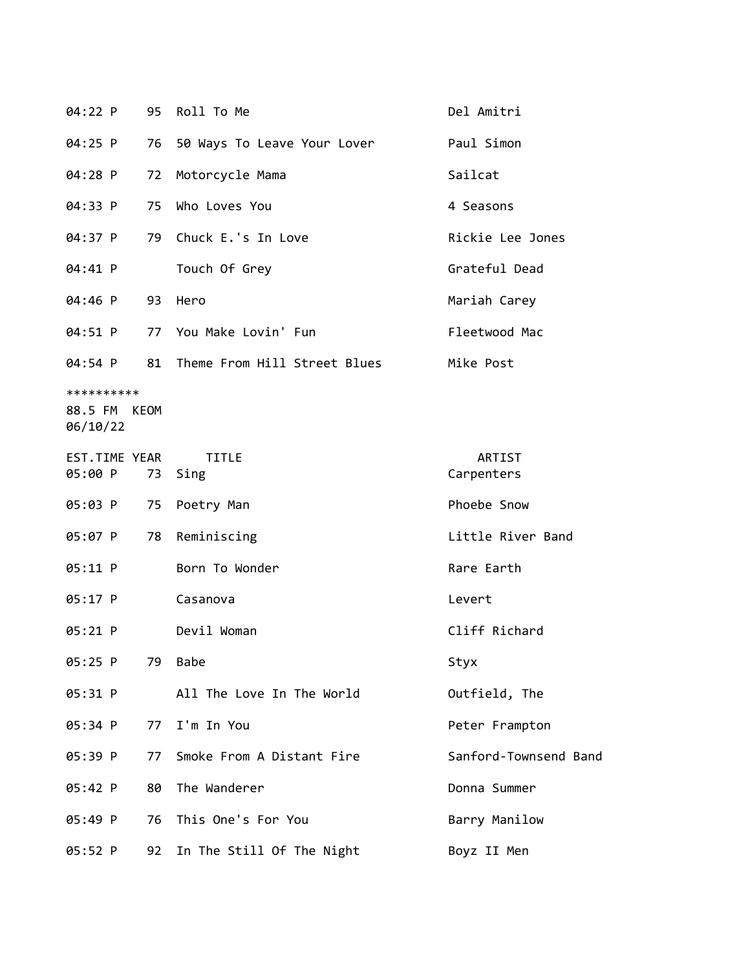| 04:22 P                                | 95 | Roll To Me                   | Del Amitri            |
|----------------------------------------|----|------------------------------|-----------------------|
| $04:25$ P                              | 76 | 50 Ways To Leave Your Lover  | Paul Simon            |
| 04:28 P                                | 72 | Motorcycle Mama              | Sailcat               |
| 04:33 P                                | 75 | Who Loves You                | 4 Seasons             |
| 04:37 P                                | 79 | Chuck E.'s In Love           | Rickie Lee Jones      |
| 04:41 P                                |    | Touch Of Grey                | Grateful Dead         |
| 04:46 P                                | 93 | Hero                         | Mariah Carey          |
| 04:51 P                                |    | 77 You Make Lovin' Fun       | Fleetwood Mac         |
| 04:54 P                                | 81 | Theme From Hill Street Blues | Mike Post             |
| **********<br>88.5 FM KEOM<br>06/10/22 |    |                              |                       |
| EST.TIME YEAR<br>05:00 P               | 73 | <b>TITLE</b><br>Sing         | ARTIST<br>Carpenters  |
| 05:03 P                                | 75 | Poetry Man                   | Phoebe Snow           |
| 05:07 P                                | 78 | Reminiscing                  | Little River Band     |
| 05:11 P                                |    | Born To Wonder               | Rare Earth            |
| $05:17$ P                              |    | Casanova                     | Levert                |
| 05:21 P                                |    | Devil Woman                  | Cliff Richard         |
| 05:25 P                                | 79 | <b>Babe</b>                  | Styx                  |
| 05:31 P                                |    | All The Love In The World    | Outfield, The         |
| 05:34 P                                | 77 | I'm In You                   | Peter Frampton        |
| 05:39 P                                | 77 | Smoke From A Distant Fire    | Sanford-Townsend Band |
| 05:42 P                                | 80 | The Wanderer                 | Donna Summer          |
| 05:49 P                                | 76 | This One's For You           | Barry Manilow         |
| 05:52 P                                | 92 | In The Still Of The Night    | Boyz II Men           |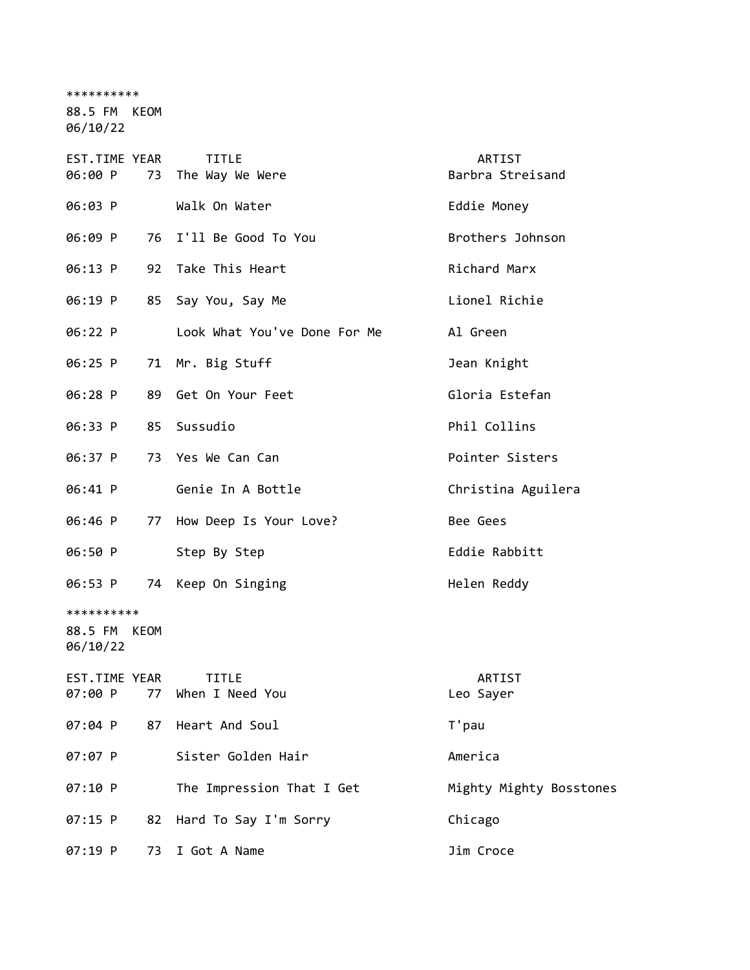\*\*\*\*\*\*\*\*\*\*

88.5 FM KEOM

| EST.TIME YEAR<br>06:00 P               |    | <b>TITLE</b><br>73 The Way We Were | ARTIST<br>Barbra Streisand |
|----------------------------------------|----|------------------------------------|----------------------------|
| 06:03 P                                |    | Walk On Water                      | Eddie Money                |
| 06:09 P                                |    | 76 I'll Be Good To You             | Brothers Johnson           |
| 06:13 P                                |    | 92 Take This Heart                 | Richard Marx               |
| 06:19 P                                |    | 85 Say You, Say Me                 | Lionel Richie              |
| 06:22 P                                |    | Look What You've Done For Me       | Al Green                   |
| 06:25 P                                |    | 71 Mr. Big Stuff                   | Jean Knight                |
| 06:28 P                                |    | 89 Get On Your Feet                | Gloria Estefan             |
| 06:33 P                                |    | 85 Sussudio                        | Phil Collins               |
| 06:37 P                                |    | 73 Yes We Can Can                  | Pointer Sisters            |
| 06:41 P                                |    | Genie In A Bottle                  | Christina Aguilera         |
| 06:46 P                                |    | 77 How Deep Is Your Love?          | Bee Gees                   |
| 06:50 P                                |    | Step By Step                       | Eddie Rabbitt              |
| 06:53 P                                |    | 74 Keep On Singing                 | Helen Reddy                |
| **********<br>88.5 FM KEOM<br>06/10/22 |    |                                    |                            |
| EST.TIME YEAR                          |    | <b>TITLE</b>                       | ARTIST                     |
| 07:00 P                                |    | 77 When I Need You                 | Leo Sayer                  |
| 07:04 P                                | 87 | Heart And Soul                     | T'pau                      |
| 07:07 P                                |    | Sister Golden Hair                 | America                    |
| 07:10 P                                |    | The Impression That I Get          | Mighty Mighty Bosstones    |
| 07:15 P                                | 82 | Hard To Say I'm Sorry              | Chicago                    |
| 07:19 P                                | 73 | I Got A Name                       | Jim Croce                  |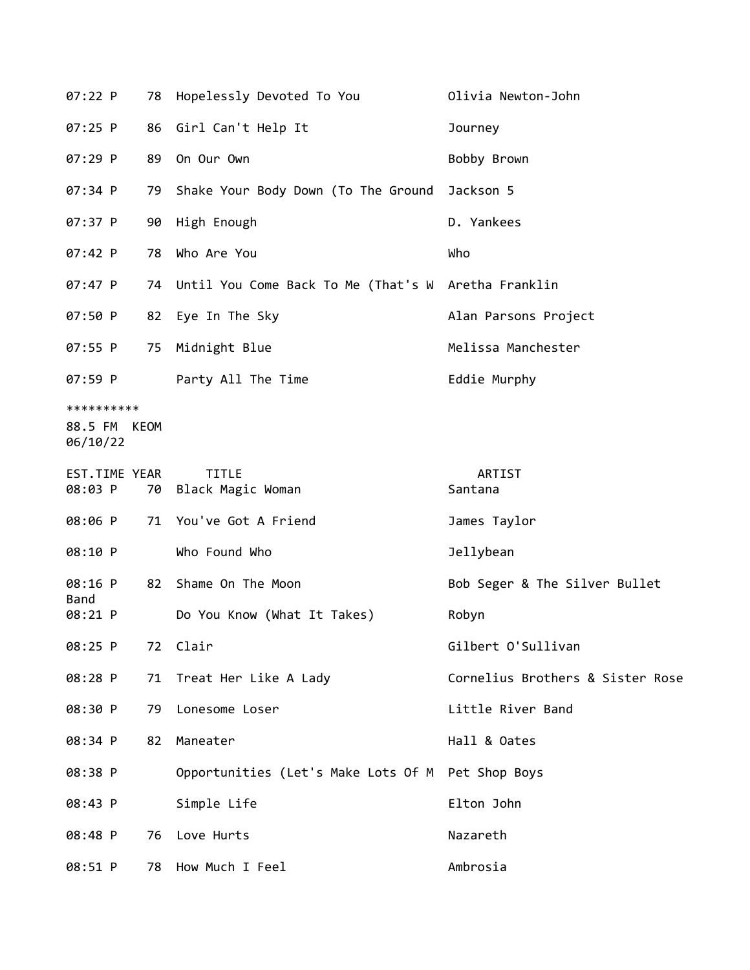| 07:22 P                                | 78 | Hopelessly Devoted To You                              | Olivia Newton-John               |  |
|----------------------------------------|----|--------------------------------------------------------|----------------------------------|--|
| $07:25$ P                              | 86 | Girl Can't Help It                                     | Journey                          |  |
| 07:29 P                                | 89 | On Our Own                                             | Bobby Brown                      |  |
| 07:34 P                                | 79 | Shake Your Body Down (To The Ground                    | Jackson 5                        |  |
| 07:37 P                                | 90 | High Enough                                            | D. Yankees                       |  |
| 07:42 P                                | 78 | Who Are You                                            | Who                              |  |
| $07:47$ P                              |    | 74 Until You Come Back To Me (That's W Aretha Franklin |                                  |  |
| 07:50 P                                |    | 82 Eye In The Sky                                      | Alan Parsons Project             |  |
| 07:55 P                                | 75 | Midnight Blue                                          | Melissa Manchester               |  |
| 07:59 P                                |    | Party All The Time                                     | Eddie Murphy                     |  |
| **********<br>88.5 FM KEOM<br>06/10/22 |    |                                                        |                                  |  |
| EST.TIME YEAR<br>08:03 P               | 70 | <b>TITLE</b><br>Black Magic Woman                      | ARTIST<br>Santana                |  |
| 08:06 P                                |    | 71 You've Got A Friend                                 | James Taylor                     |  |
| 08:10 P                                |    | Who Found Who                                          | Jellybean                        |  |
| 08:16 P                                | 82 | Shame On The Moon                                      | Bob Seger & The Silver Bullet    |  |
| Band<br>08:21 P                        |    | Do You Know (What It Takes)                            | Robyn                            |  |
| 08:25 P                                |    | 72 Clair                                               | Gilbert O'Sullivan               |  |
| 08:28 P                                |    | 71 Treat Her Like A Lady                               | Cornelius Brothers & Sister Rose |  |
| 08:30 P                                | 79 | Lonesome Loser                                         | Little River Band                |  |
| 08:34 P                                | 82 | Maneater                                               | Hall & Oates                     |  |
| 08:38 P                                |    | Opportunities (Let's Make Lots Of M Pet Shop Boys      |                                  |  |
| 08:43 P                                |    | Simple Life                                            | Elton John                       |  |
| 08:48 P                                |    | 76 Love Hurts                                          | Nazareth                         |  |
| 08:51 P                                | 78 | How Much I Feel                                        | Ambrosia                         |  |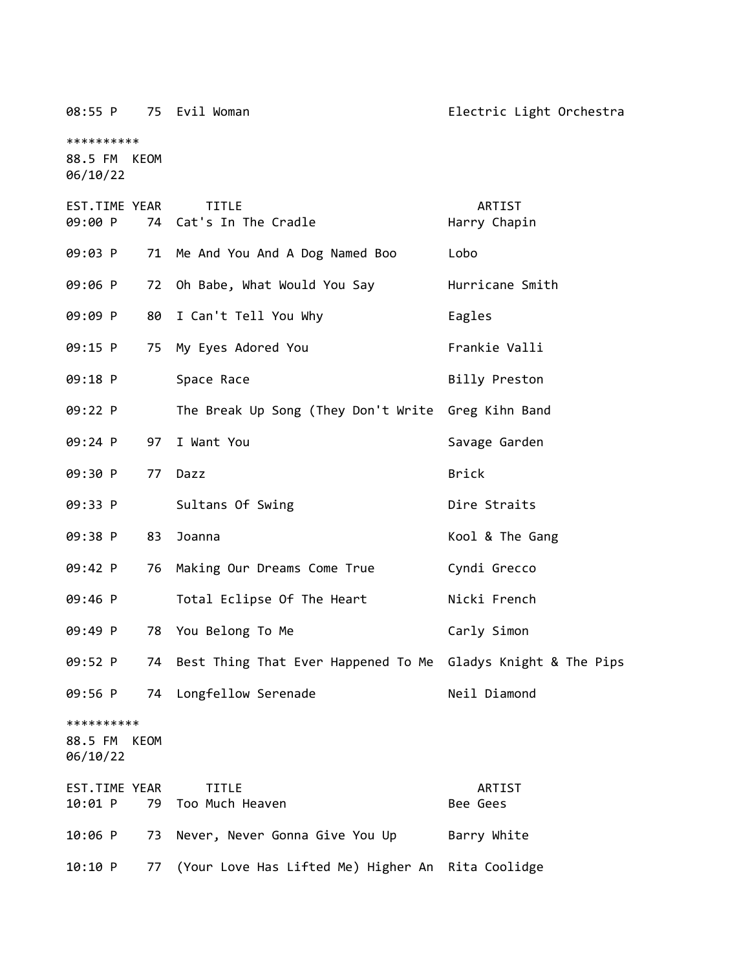08:55 P 75 Evil Woman **Electric Light Orchestra** \*\*\*\*\*\*\*\*\*\* 88.5 FM KEOM 06/10/22 EST.TIME YEAR TITLE ARTIST 09:00 P 74 Cat's In The Cradle Harry Chapin 09:03 P 71 Me And You And A Dog Named Boo Lobo 09:06 P 72 Oh Babe, What Would You Say Hurricane Smith 09:09 P 80 I Can't Tell You Why Fagles 09:15 P 75 My Eyes Adored You Frankie Valli 09:18 P Space Race Service Billy Preston 09:22 P The Break Up Song (They Don't Write Greg Kihn Band 09:24 P 97 I Want You Savage Garden 09:30 P 77 Dazz Brick 09:33 P Sultans Of Swing Dire Straits 09:38 P 83 Joanna **Kool & The Gang** 09:42 P 76 Making Our Dreams Come True Cyndi Grecco 09:46 P Total Eclipse Of The Heart Nicki French 09:49 P 78 You Belong To Me Carly Simon 09:52 P 74 Best Thing That Ever Happened To Me Gladys Knight & The Pips 09:56 P 74 Longfellow Serenade Neil Diamond \*\*\*\*\*\*\*\*\*\* 88.5 FM KEOM 06/10/22 EST.TIME YEAR TITLE ARTIST 10:01 P 79 Too Much Heaven Bee Gees 10:06 P 73 Never, Never Gonna Give You Up Barry White 10:10 P 77 (Your Love Has Lifted Me) Higher An Rita Coolidge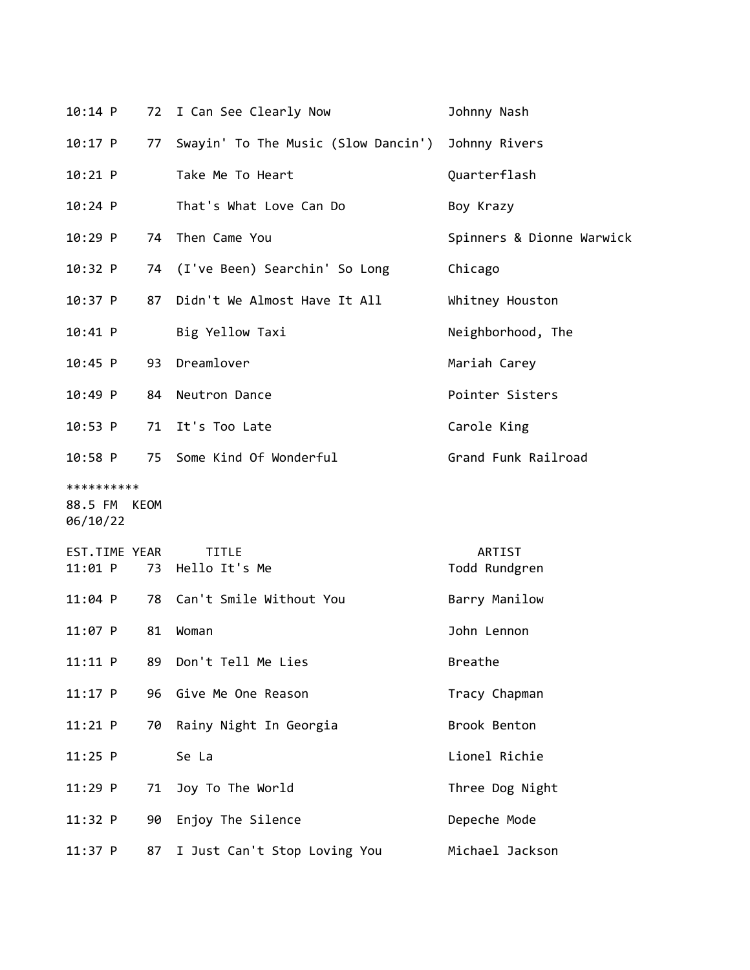|                                        | $10:14$ P                |    | 72 I Can See Clearly Now            | Johnny Nash               |
|----------------------------------------|--------------------------|----|-------------------------------------|---------------------------|
|                                        | $10:17$ P                | 77 | Swayin' To The Music (Slow Dancin') | Johnny Rivers             |
|                                        | $10:21$ P                |    | Take Me To Heart                    | Quarterflash              |
|                                        | $10:24$ P                |    | That's What Love Can Do             | Boy Krazy                 |
|                                        | $10:29$ P                |    | 74 Then Came You                    | Spinners & Dionne Warwick |
|                                        | $10:32$ P                | 74 | (I've Been) Searchin' So Long       | Chicago                   |
|                                        | $10:37$ P                | 87 | Didn't We Almost Have It All        | Whitney Houston           |
|                                        | $10:41$ P                |    | Big Yellow Taxi                     | Neighborhood, The         |
|                                        | $10:45$ P                |    | 93 Dreamlover                       | Mariah Carey              |
|                                        | 10:49 P                  | 84 | Neutron Dance                       | Pointer Sisters           |
|                                        | $10:53$ P                | 71 | It's Too Late                       | Carole King               |
|                                        | 10:58 P                  |    | 75 Some Kind Of Wonderful           | Grand Funk Railroad       |
| **********<br>88.5 FM KEOM<br>06/10/22 |                          |    |                                     |                           |
|                                        |                          |    |                                     |                           |
|                                        | EST.TIME YEAR<br>11:01 P | 73 | <b>TITLE</b><br>Hello It's Me       | ARTIST<br>Todd Rundgren   |
|                                        | $11:04$ P                |    | 78 Can't Smile Without You          | Barry Manilow             |
|                                        | $11:07$ P                | 81 | Woman                               | John Lennon               |
|                                        | 11:11 P                  | 89 | Don't Tell Me Lies                  | Breathe                   |
|                                        | $11:17$ P                | 96 | Give Me One Reason                  | Tracy Chapman             |
|                                        | 11:21 P                  | 70 | Rainy Night In Georgia              | Brook Benton              |
|                                        | $11:25$ P                |    | Se La                               | Lionel Richie             |
|                                        | 11:29 P                  | 71 | Joy To The World                    | Three Dog Night           |
|                                        | 11:32 P                  | 90 | Enjoy The Silence                   | Depeche Mode              |

11:37 P 87 I Just Can't Stop Loving You Michael Jackson